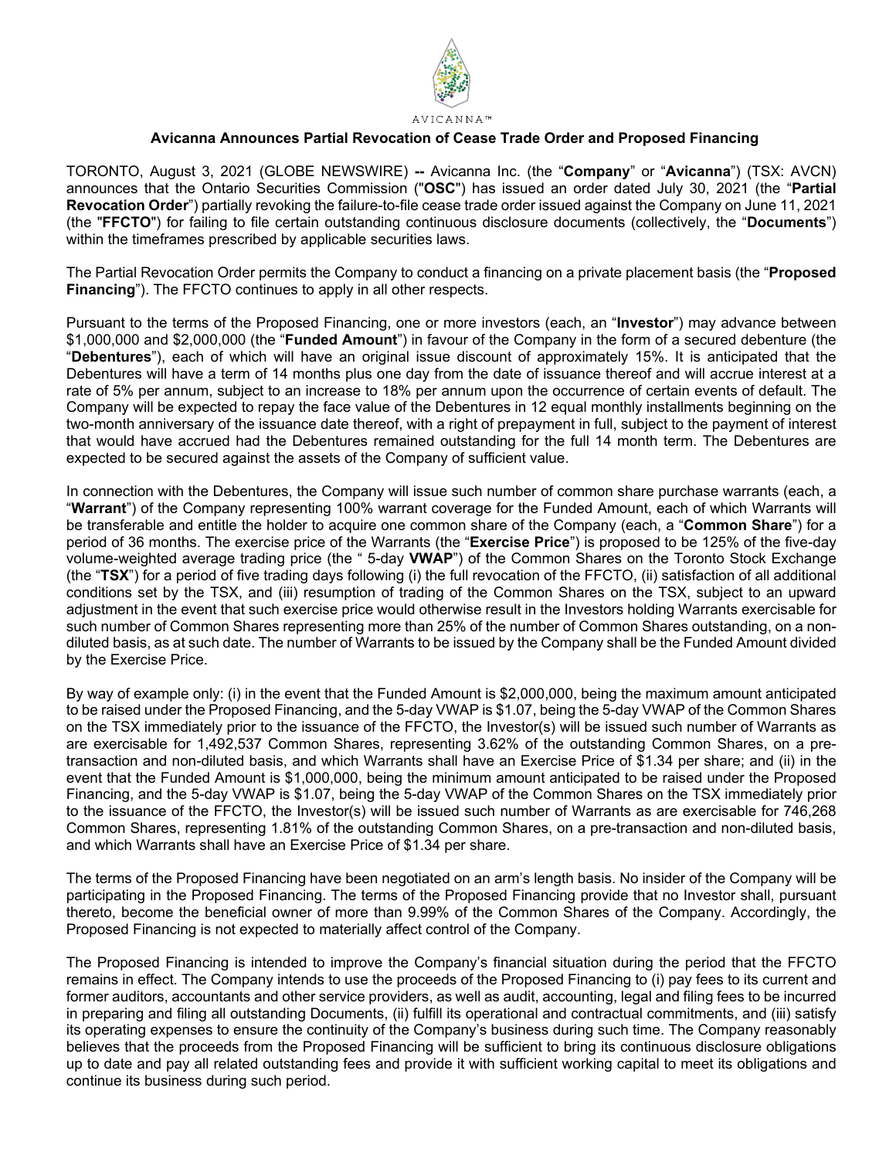

#### **Avicanna Announces Partial Revocation of Cease Trade Order and Proposed Financing**

TORONTO, August 3, 2021 (GLOBE NEWSWIRE) **--** Avicanna Inc. (the "**Company**" or "**Avicanna**") (TSX: AVCN) announces that the Ontario Securities Commission ("**OSC**") has issued an order dated July 30, 2021 (the "**Partial Revocation Order**") partially revoking the failure-to-file cease trade order issued against the Company on June 11, 2021 (the "**FFCTO**") for failing to file certain outstanding continuous disclosure documents (collectively, the "**Documents**") within the timeframes prescribed by applicable securities laws.

The Partial Revocation Order permits the Company to conduct a financing on a private placement basis (the "**Proposed Financing**"). The FFCTO continues to apply in all other respects.

Pursuant to the terms of the Proposed Financing, one or more investors (each, an "**Investor**") may advance between \$1,000,000 and \$2,000,000 (the "**Funded Amount**") in favour of the Company in the form of a secured debenture (the "**Debentures**"), each of which will have an original issue discount of approximately 15%. It is anticipated that the Debentures will have a term of 14 months plus one day from the date of issuance thereof and will accrue interest at a rate of 5% per annum, subject to an increase to 18% per annum upon the occurrence of certain events of default. The Company will be expected to repay the face value of the Debentures in 12 equal monthly installments beginning on the two-month anniversary of the issuance date thereof, with a right of prepayment in full, subject to the payment of interest that would have accrued had the Debentures remained outstanding for the full 14 month term. The Debentures are expected to be secured against the assets of the Company of sufficient value.

In connection with the Debentures, the Company will issue such number of common share purchase warrants (each, a "**Warrant**") of the Company representing 100% warrant coverage for the Funded Amount, each of which Warrants will be transferable and entitle the holder to acquire one common share of the Company (each, a "**Common Share**") for a period of 36 months. The exercise price of the Warrants (the "**Exercise Price**") is proposed to be 125% of the five-day volume-weighted average trading price (the " 5-day **VWAP**") of the Common Shares on the Toronto Stock Exchange (the "**TSX**") for a period of five trading days following (i) the full revocation of the FFCTO, (ii) satisfaction of all additional conditions set by the TSX, and (iii) resumption of trading of the Common Shares on the TSX, subject to an upward adjustment in the event that such exercise price would otherwise result in the Investors holding Warrants exercisable for such number of Common Shares representing more than 25% of the number of Common Shares outstanding, on a nondiluted basis, as at such date. The number of Warrants to be issued by the Company shall be the Funded Amount divided by the Exercise Price.

By way of example only: (i) in the event that the Funded Amount is \$2,000,000, being the maximum amount anticipated to be raised under the Proposed Financing, and the 5-day VWAP is \$1.07, being the 5-day VWAP of the Common Shares on the TSX immediately prior to the issuance of the FFCTO, the Investor(s) will be issued such number of Warrants as are exercisable for 1,492,537 Common Shares, representing 3.62% of the outstanding Common Shares, on a pretransaction and non-diluted basis, and which Warrants shall have an Exercise Price of \$1.34 per share; and (ii) in the event that the Funded Amount is \$1,000,000, being the minimum amount anticipated to be raised under the Proposed Financing, and the 5-day VWAP is \$1.07, being the 5-day VWAP of the Common Shares on the TSX immediately prior to the issuance of the FFCTO, the Investor(s) will be issued such number of Warrants as are exercisable for 746,268 Common Shares, representing 1.81% of the outstanding Common Shares, on a pre-transaction and non-diluted basis, and which Warrants shall have an Exercise Price of \$1.34 per share.

The terms of the Proposed Financing have been negotiated on an arm's length basis. No insider of the Company will be participating in the Proposed Financing. The terms of the Proposed Financing provide that no Investor shall, pursuant thereto, become the beneficial owner of more than 9.99% of the Common Shares of the Company. Accordingly, the Proposed Financing is not expected to materially affect control of the Company.

The Proposed Financing is intended to improve the Company's financial situation during the period that the FFCTO remains in effect. The Company intends to use the proceeds of the Proposed Financing to (i) pay fees to its current and former auditors, accountants and other service providers, as well as audit, accounting, legal and filing fees to be incurred in preparing and filing all outstanding Documents, (ii) fulfill its operational and contractual commitments, and (iii) satisfy its operating expenses to ensure the continuity of the Company's business during such time. The Company reasonably believes that the proceeds from the Proposed Financing will be sufficient to bring its continuous disclosure obligations up to date and pay all related outstanding fees and provide it with sufficient working capital to meet its obligations and continue its business during such period.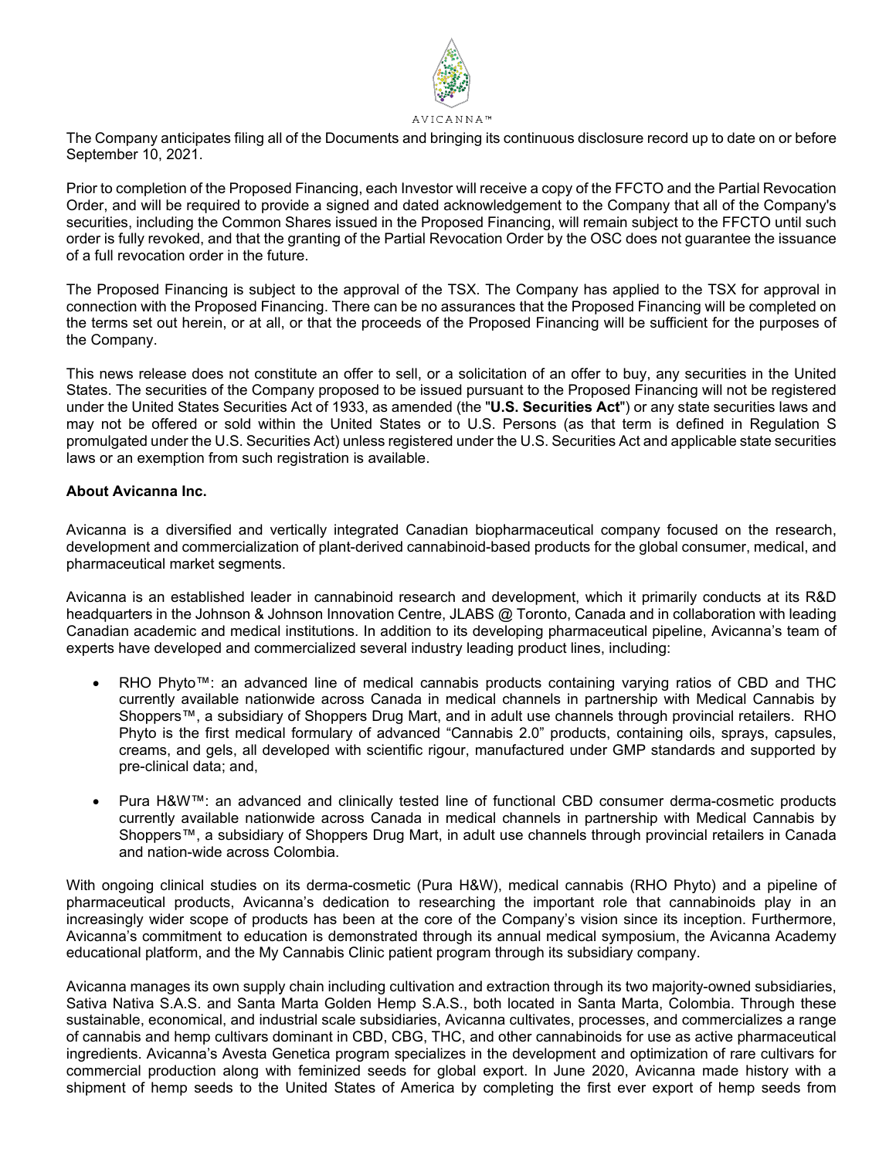

#### The Company anticipates filing all of the Documents and bringing its continuous disclosure record up to date on or before September 10, 2021.

Prior to completion of the Proposed Financing, each Investor will receive a copy of the FFCTO and the Partial Revocation Order, and will be required to provide a signed and dated acknowledgement to the Company that all of the Company's securities, including the Common Shares issued in the Proposed Financing, will remain subject to the FFCTO until such order is fully revoked, and that the granting of the Partial Revocation Order by the OSC does not guarantee the issuance of a full revocation order in the future.

The Proposed Financing is subject to the approval of the TSX. The Company has applied to the TSX for approval in connection with the Proposed Financing. There can be no assurances that the Proposed Financing will be completed on the terms set out herein, or at all, or that the proceeds of the Proposed Financing will be sufficient for the purposes of the Company.

This news release does not constitute an offer to sell, or a solicitation of an offer to buy, any securities in the United States. The securities of the Company proposed to be issued pursuant to the Proposed Financing will not be registered under the United States Securities Act of 1933, as amended (the "**U.S. Securities Act**") or any state securities laws and may not be offered or sold within the United States or to U.S. Persons (as that term is defined in Regulation S promulgated under the U.S. Securities Act) unless registered under the U.S. Securities Act and applicable state securities laws or an exemption from such registration is available.

# **About Avicanna Inc.**

Avicanna is a diversified and vertically integrated Canadian biopharmaceutical company focused on the research, development and commercialization of plant-derived cannabinoid-based products for the global consumer, medical, and pharmaceutical market segments.

Avicanna is an established leader in cannabinoid research and development, which it primarily conducts at its R&D headquarters in the Johnson & Johnson Innovation Centre, JLABS @ Toronto, Canada and in collaboration with leading Canadian academic and medical institutions. In addition to its developing pharmaceutical pipeline, Avicanna's team of experts have developed and commercialized several industry leading product lines, including:

- RHO Phyto™: an advanced line of medical cannabis products containing varying ratios of CBD and THC currently available nationwide across Canada in medical channels in partnership with Medical Cannabis by Shoppers™, a subsidiary of Shoppers Drug Mart, and in adult use channels through provincial retailers. RHO Phyto is the first medical formulary of advanced "Cannabis 2.0" products, containing oils, sprays, capsules, creams, and gels, all developed with scientific rigour, manufactured under GMP standards and supported by pre-clinical data; and,
- Pura H&W™: an advanced and clinically tested line of functional CBD consumer derma-cosmetic products currently available nationwide across Canada in medical channels in partnership with Medical Cannabis by Shoppers™, a subsidiary of Shoppers Drug Mart, in adult use channels through provincial retailers in Canada and nation-wide across Colombia.

With ongoing clinical studies on its derma-cosmetic (Pura H&W), medical cannabis (RHO Phyto) and a pipeline of pharmaceutical products, Avicanna's dedication to researching the important role that cannabinoids play in an increasingly wider scope of products has been at the core of the Company's vision since its inception. Furthermore, Avicanna's commitment to education is demonstrated through its annual medical symposium, the Avicanna Academy educational platform, and the My Cannabis Clinic patient program through its subsidiary company.

Avicanna manages its own supply chain including cultivation and extraction through its two majority-owned subsidiaries, Sativa Nativa S.A.S. and Santa Marta Golden Hemp S.A.S., both located in Santa Marta, Colombia. Through these sustainable, economical, and industrial scale subsidiaries, Avicanna cultivates, processes, and commercializes a range of cannabis and hemp cultivars dominant in CBD, CBG, THC, and other cannabinoids for use as active pharmaceutical ingredients. Avicanna's Avesta Genetica program specializes in the development and optimization of rare cultivars for commercial production along with feminized seeds for global export. In June 2020, Avicanna made history with a shipment of hemp seeds to the United States of America by completing the first ever export of hemp seeds from